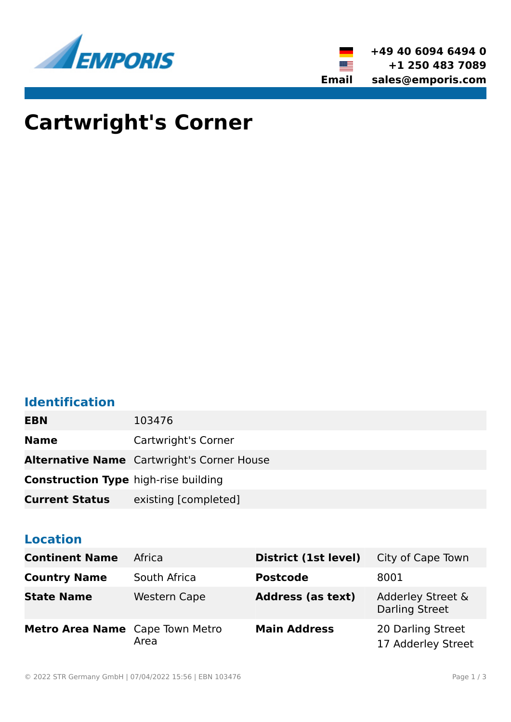



# **Cartwright's Corner**

# **Identification**

| <b>EBN</b>                                  | 103476                                            |
|---------------------------------------------|---------------------------------------------------|
| <b>Name</b>                                 | Cartwright's Corner                               |
|                                             | <b>Alternative Name</b> Cartwright's Corner House |
| <b>Construction Type high-rise building</b> |                                                   |
| <b>Current Status</b>                       | existing [completed]                              |

# **Location**

| <b>Continent Name</b>           | Africa              | District (1st level)     | City of Cape Town                          |
|---------------------------------|---------------------|--------------------------|--------------------------------------------|
| <b>Country Name</b>             | South Africa        | <b>Postcode</b>          | 8001                                       |
| <b>State Name</b>               | <b>Western Cape</b> | <b>Address (as text)</b> | Adderley Street &<br><b>Darling Street</b> |
| Metro Area Name Cape Town Metro | Area                | <b>Main Address</b>      | 20 Darling Street<br>17 Adderley Street    |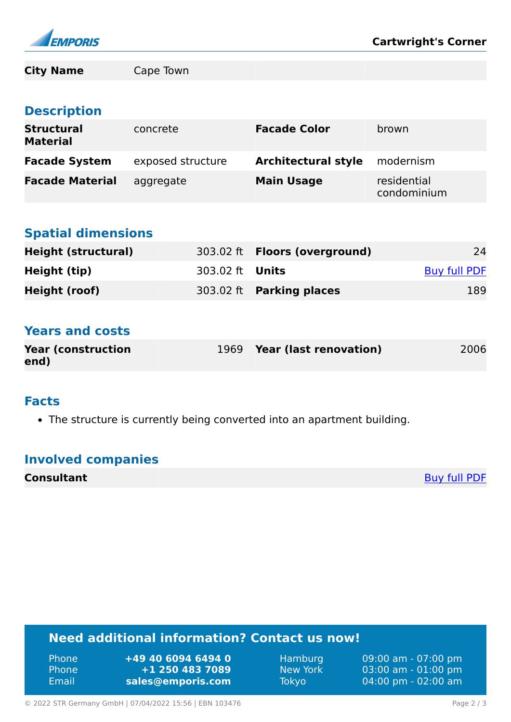

**City Name** Cape Town

# **Description**

| <b>Structural</b><br><b>Material</b> | concrete          | <b>Facade Color</b>        | brown                      |
|--------------------------------------|-------------------|----------------------------|----------------------------|
| <b>Facade System</b>                 | exposed structure | <b>Architectural style</b> | modernism                  |
| <b>Facade Material</b>               | aggregate         | <b>Main Usage</b>          | residential<br>condominium |

# **Spatial dimensions**

| <b>Height (structural)</b> |                        | 303.02 ft <b>Floors (overground)</b> | 24           |
|----------------------------|------------------------|--------------------------------------|--------------|
| Height (tip)               | 303.02 ft <b>Units</b> |                                      | Buy full PDF |
| Height (roof)              |                        | 303.02 ft Parking places             | 189          |

# **Years and costs**

| <b>Year (construction)</b> | 1969 Year (last renovation) | 2006 |
|----------------------------|-----------------------------|------|
| end)                       |                             |      |

#### **Facts**

• The structure is currently being converted into an apartment building.

# **Involved companies**

| <b>Consultant</b> | <b>Buy full PDF</b> |
|-------------------|---------------------|
|-------------------|---------------------|

# **Need additional information? Contact us now!**

| <b>Phone</b> | $+49$ 40 6094 6494 0 |
|--------------|----------------------|
| <b>Phone</b> | +1 250 483 7089      |
| <b>Email</b> | sales@emporis.com    |

Hamburg 09:00 am - 07:00 pm<br>New York 03:00 am - 01:00 pm New York 03:00 am - 01:00 pm<br>Tokyo 04:00 pm - 02:00 am 04:00 pm - 02:00 am